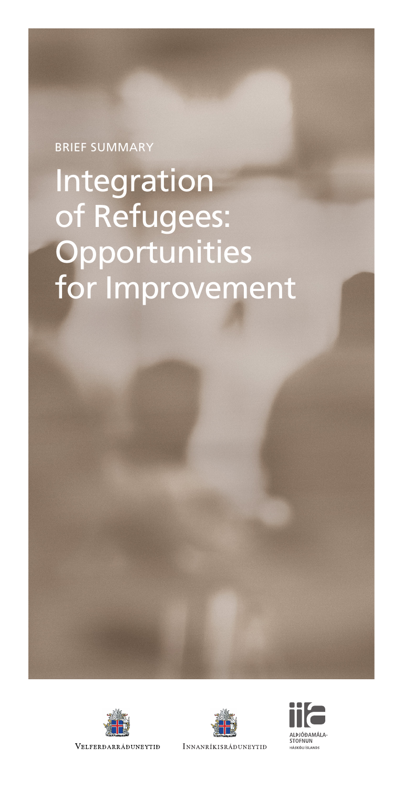# BRIEF SUMMARY

# Integration of Refugees: **Opportunities** for Improvement







INNANRÍKISRÁÐUNEYTIÐ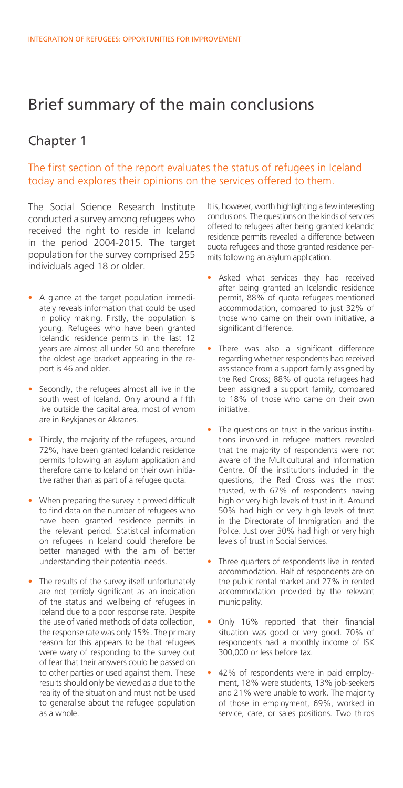# Brief summary of the main conclusions

### Chapter 1

#### The first section of the report evaluates the status of refugees in Iceland today and explores their opinions on the services offered to them.

The Social Science Research Institute conducted a survey among refugees who received the right to reside in Iceland in the period 2004-2015. The target population for the survey comprised 255 individuals aged 18 or older.

- A glance at the target population immediately reveals information that could be used in policy making. Firstly, the population is young. Refugees who have been granted Icelandic residence permits in the last 12 years are almost all under 50 and therefore the oldest age bracket appearing in the report is 46 and older.
- Secondly, the refugees almost all live in the south west of Iceland. Only around a fifth live outside the capital area, most of whom are in Reykjanes or Akranes.
- Thirdly, the majority of the refugees, around 72%, have been granted Icelandic residence permits following an asylum application and therefore came to Iceland on their own initiative rather than as part of a refugee quota.
- When preparing the survey it proved difficult to find data on the number of refugees who have been granted residence permits in the relevant period. Statistical information on refugees in Iceland could therefore be better managed with the aim of better understanding their potential needs.
- The results of the survey itself unfortunately are not terribly significant as an indication of the status and wellbeing of refugees in Iceland due to a poor response rate. Despite the use of varied methods of data collection, the response rate was only 15%. The primary reason for this appears to be that refugees were wary of responding to the survey out of fear that their answers could be passed on to other parties or used against them. These results should only be viewed as a clue to the reality of the situation and must not be used to generalise about the refugee population as a whole.

It is, however, worth highlighting a few interesting conclusions. The questions on the kinds of services offered to refugees after being granted Icelandic residence permits revealed a difference between quota refugees and those granted residence permits following an asylum application.

- Asked what services they had received after being granted an Icelandic residence permit, 88% of quota refugees mentioned accommodation, compared to just 32% of those who came on their own initiative, a significant difference.
- There was also a significant difference regarding whether respondents had received assistance from a support family assigned by the Red Cross; 88% of quota refugees had been assigned a support family, compared to 18% of those who came on their own initiative.
- The questions on trust in the various institutions involved in refugee matters revealed that the majority of respondents were not aware of the Multicultural and Information Centre. Of the institutions included in the questions, the Red Cross was the most trusted, with 67% of respondents having high or very high levels of trust in it. Around 50% had high or very high levels of trust in the Directorate of Immigration and the Police. Just over 30% had high or very high levels of trust in Social Services.
- Three quarters of respondents live in rented accommodation. Half of respondents are on the public rental market and 27% in rented accommodation provided by the relevant municipality.
- Only 16% reported that their financial situation was good or very good. 70% of respondents had a monthly income of ISK 300,000 or less before tax.
- 42% of respondents were in paid employment, 18% were students, 13% job-seekers and 21% were unable to work. The majority of those in employment, 69%, worked in service, care, or sales positions. Two thirds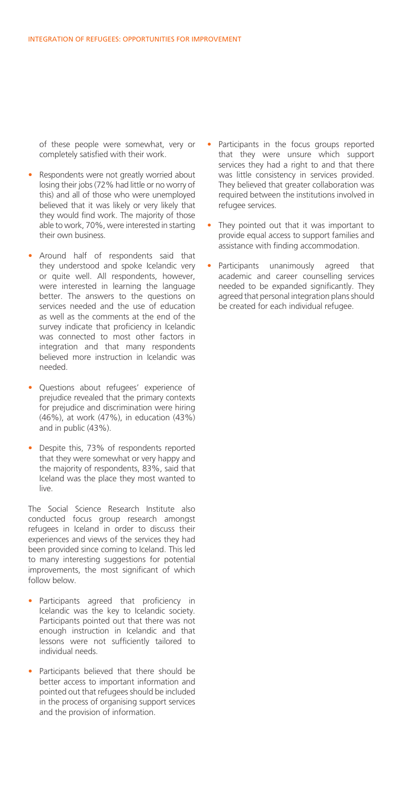of these people were somewhat, very or completely satisfied with their work.

- Respondents were not greatly worried about losing their jobs (72% had little or no worry of this) and all of those who were unemployed believed that it was likely or very likely that they would find work. The majority of those able to work, 70%, were interested in starting their own business.
- Around half of respondents said that they understood and spoke Icelandic very or quite well. All respondents, however, were interested in learning the language better. The answers to the questions on services needed and the use of education as well as the comments at the end of the survey indicate that proficiency in Icelandic was connected to most other factors in integration and that many respondents believed more instruction in Icelandic was needed.
- Questions about refugees' experience of prejudice revealed that the primary contexts for prejudice and discrimination were hiring (46%), at work (47%), in education (43%) and in public (43%).
- Despite this, 73% of respondents reported that they were somewhat or very happy and the majority of respondents, 83%, said that Iceland was the place they most wanted to live.

The Social Science Research Institute also conducted focus group research amongst refugees in Iceland in order to discuss their experiences and views of the services they had been provided since coming to Iceland. This led to many interesting suggestions for potential improvements, the most significant of which follow below.

- Participants agreed that proficiency in Icelandic was the key to Icelandic society. Participants pointed out that there was not enough instruction in Icelandic and that lessons were not sufficiently tailored to individual needs.
- Participants believed that there should be better access to important information and pointed out that refugees should be included in the process of organising support services and the provision of information.
- Participants in the focus groups reported that they were unsure which support services they had a right to and that there was little consistency in services provided. They believed that greater collaboration was required between the institutions involved in refugee services.
- They pointed out that it was important to provide equal access to support families and assistance with finding accommodation.
- Participants unanimously agreed that academic and career counselling services needed to be expanded significantly. They agreed that personal integration plans should be created for each individual refugee.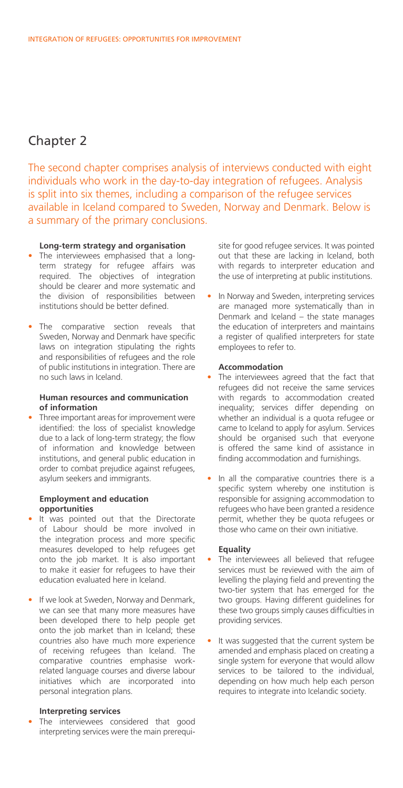# Chapter 2

The second chapter comprises analysis of interviews conducted with eight individuals who work in the day-to-day integration of refugees. Analysis is split into six themes, including a comparison of the refugee services available in Iceland compared to Sweden, Norway and Denmark. Below is a summary of the primary conclusions.

#### **Long-term strategy and organisation**

- The interviewees emphasised that a longterm strategy for refugee affairs was required. The objectives of integration should be clearer and more systematic and the division of responsibilities between institutions should be better defined.
- **•**  The comparative section reveals that Sweden, Norway and Denmark have specific laws on integration stipulating the rights and responsibilities of refugees and the role of public institutions in integration. There are no such laws in Iceland.

#### **Human resources and communication of information**

**•**  Three important areas for improvement were identified: the loss of specialist knowledge due to a lack of long-term strategy; the flow of information and knowledge between institutions, and general public education in order to combat prejudice against refugees, asylum seekers and immigrants.

#### **Employment and education opportunities**

- **•**  It was pointed out that the Directorate of Labour should be more involved in the integration process and more specific measures developed to help refugees get onto the job market. It is also important to make it easier for refugees to have their education evaluated here in Iceland.
- **•**  If we look at Sweden, Norway and Denmark, we can see that many more measures have been developed there to help people get onto the job market than in Iceland; these countries also have much more experience of receiving refugees than Iceland. The comparative countries emphasise workrelated language courses and diverse labour initiatives which are incorporated into personal integration plans.

#### **Interpreting services**

The interviewees considered that good interpreting services were the main prerequisite for good refugee services. It was pointed out that these are lacking in Iceland, both with regards to interpreter education and the use of interpreting at public institutions.

• In Norway and Sweden, interpreting services are managed more systematically than in Denmark and Iceland – the state manages the education of interpreters and maintains a register of qualified interpreters for state employees to refer to.

#### **Accommodation**

- The interviewees agreed that the fact that refugees did not receive the same services with regards to accommodation created inequality; services differ depending on whether an individual is a quota refugee or came to Iceland to apply for asylum. Services should be organised such that everyone is offered the same kind of assistance in finding accommodation and furnishings.
- In all the comparative countries there is a specific system whereby one institution is responsible for assigning accommodation to refugees who have been granted a residence permit, whether they be quota refugees or those who came on their own initiative.

#### **Equality**

- The interviewees all believed that refugee services must be reviewed with the aim of levelling the playing field and preventing the two-tier system that has emerged for the two groups. Having different guidelines for these two groups simply causes difficulties in providing services.
- It was suggested that the current system be amended and emphasis placed on creating a single system for everyone that would allow services to be tailored to the individual, depending on how much help each person requires to integrate into Icelandic society.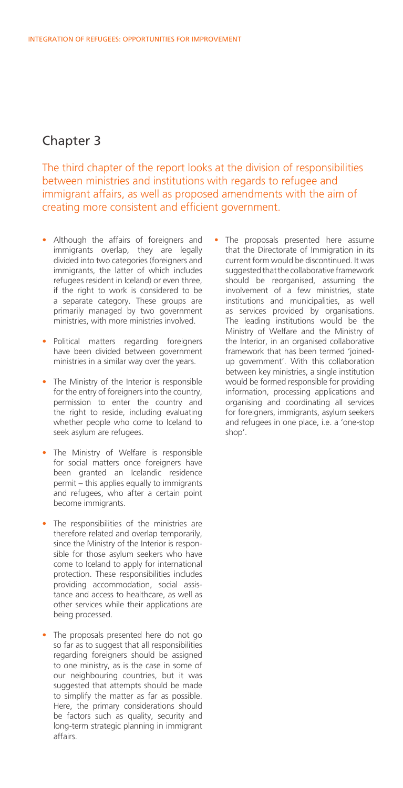## Chapter 3

The third chapter of the report looks at the division of responsibilities between ministries and institutions with regards to refugee and immigrant affairs, as well as proposed amendments with the aim of creating more consistent and efficient government.

- **•**  Although the affairs of foreigners and immigrants overlap, they are legally divided into two categories (foreigners and immigrants, the latter of which includes refugees resident in Iceland) or even three, if the right to work is considered to be a separate category. These groups are primarily managed by two government ministries, with more ministries involved.
- **•**  Political matters regarding foreigners have been divided between government ministries in a similar way over the years.
- The Ministry of the Interior is responsible for the entry of foreigners into the country, permission to enter the country and the right to reside, including evaluating whether people who come to Iceland to seek asylum are refugees.
- **•**  The Ministry of Welfare is responsible for social matters once foreigners have been granted an Icelandic residence permit – this applies equally to immigrants and refugees, who after a certain point become immigrants.
- The responsibilities of the ministries are therefore related and overlap temporarily, since the Ministry of the Interior is responsible for those asylum seekers who have come to Iceland to apply for international protection. These responsibilities includes providing accommodation, social assistance and access to healthcare, as well as other services while their applications are being processed.
- The proposals presented here do not go so far as to suggest that all responsibilities regarding foreigners should be assigned to one ministry, as is the case in some of our neighbouring countries, but it was suggested that attempts should be made to simplify the matter as far as possible. Here, the primary considerations should be factors such as quality, security and long-term strategic planning in immigrant affairs.

The proposals presented here assume that the Directorate of Immigration in its current form would be discontinued. It was suggested that the collaborative framework should be reorganised, assuming the involvement of a few ministries, state institutions and municipalities, as well as services provided by organisations. The leading institutions would be the Ministry of Welfare and the Ministry of the Interior, in an organised collaborative framework that has been termed 'joinedup government'. With this collaboration between key ministries, a single institution would be formed responsible for providing information, processing applications and organising and coordinating all services for foreigners, immigrants, asylum seekers and refugees in one place, i.e. a 'one-stop shop'.